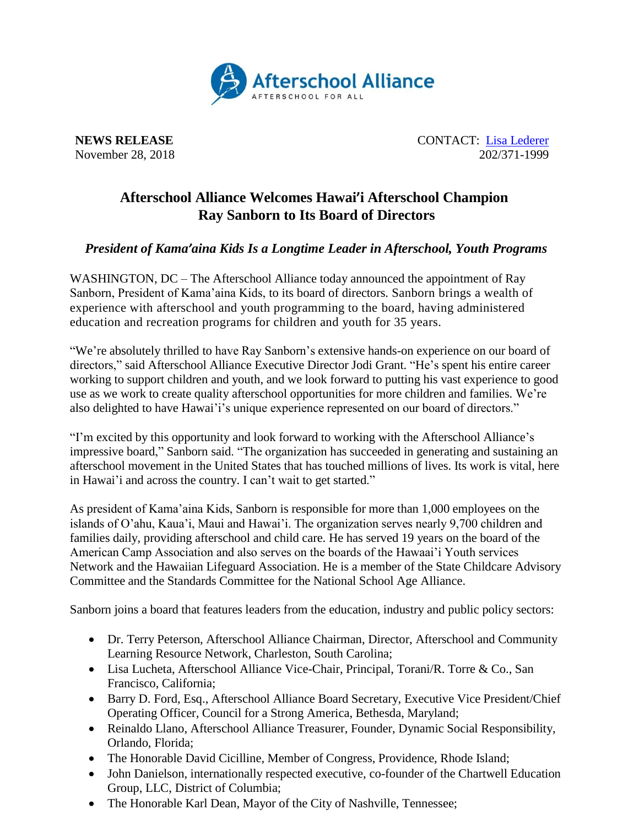

**NEWS RELEASE** CONTACT: [Lisa Lederer](mailto:lisa@prsolutionsdc.com) November 28, 2018 202/371-1999

## **Afterschool Alliance Welcomes Hawai'i Afterschool Champion Ray Sanborn to Its Board of Directors**

## *President of Kama'aina Kids Is a Longtime Leader in Afterschool, Youth Programs*

WASHINGTON, DC – The Afterschool Alliance today announced the appointment of Ray Sanborn, President of Kama'aina Kids, to its board of directors. Sanborn brings a wealth of experience with afterschool and youth programming to the board, having administered education and recreation programs for children and youth for 35 years.

"We're absolutely thrilled to have Ray Sanborn's extensive hands-on experience on our board of directors," said Afterschool Alliance Executive Director Jodi Grant. "He's spent his entire career working to support children and youth, and we look forward to putting his vast experience to good use as we work to create quality afterschool opportunities for more children and families. We're also delighted to have Hawai'i's unique experience represented on our board of directors."

"I'm excited by this opportunity and look forward to working with the Afterschool Alliance's impressive board," Sanborn said. "The organization has succeeded in generating and sustaining an afterschool movement in the United States that has touched millions of lives. Its work is vital, here in Hawai'i and across the country. I can't wait to get started."

As president of Kama'aina Kids, Sanborn is responsible for more than 1,000 employees on the islands of O'ahu, Kaua'i, Maui and Hawai'i. The organization serves nearly 9,700 children and families daily, providing afterschool and child care. He has served 19 years on the board of the American Camp Association and also serves on the boards of the Hawaai'i Youth services Network and the Hawaiian Lifeguard Association. He is a member of the State Childcare Advisory Committee and the Standards Committee for the National School Age Alliance.

Sanborn joins a board that features leaders from the education, industry and public policy sectors:

- Dr. Terry Peterson, Afterschool Alliance Chairman, Director, Afterschool and Community Learning Resource Network, Charleston, South Carolina;
- Lisa Lucheta, Afterschool Alliance Vice-Chair, Principal, Torani/R. Torre & Co., San Francisco, California;
- Barry D. Ford, Esq., Afterschool Alliance Board Secretary, Executive Vice President/Chief Operating Officer, Council for a Strong America, Bethesda, Maryland;
- Reinaldo Llano, Afterschool Alliance Treasurer, Founder, Dynamic Social Responsibility, Orlando, Florida;
- The Honorable David Cicilline, Member of Congress, Providence, Rhode Island;
- John Danielson, internationally respected executive, co-founder of the Chartwell Education Group, LLC, District of Columbia;
- The Honorable Karl Dean, Mayor of the City of Nashville, Tennessee;